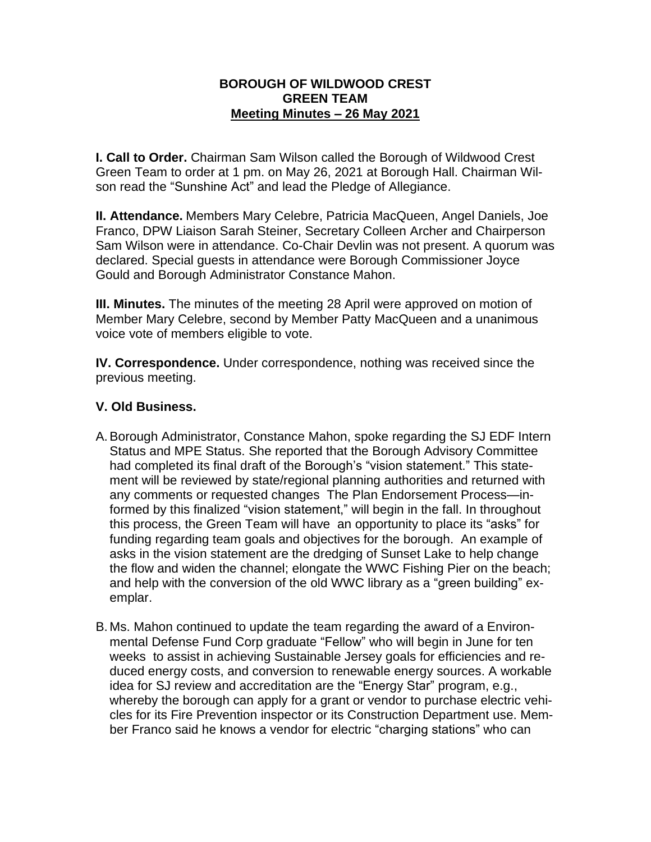## **BOROUGH OF WILDWOOD CREST GREEN TEAM Meeting Minutes – 26 May 2021**

**I. Call to Order.** Chairman Sam Wilson called the Borough of Wildwood Crest Green Team to order at 1 pm. on May 26, 2021 at Borough Hall. Chairman Wilson read the "Sunshine Act" and lead the Pledge of Allegiance.

**II. Attendance.** Members Mary Celebre, Patricia MacQueen, Angel Daniels, Joe Franco, DPW Liaison Sarah Steiner, Secretary Colleen Archer and Chairperson Sam Wilson were in attendance. Co-Chair Devlin was not present. A quorum was declared. Special guests in attendance were Borough Commissioner Joyce Gould and Borough Administrator Constance Mahon.

**III. Minutes.** The minutes of the meeting 28 April were approved on motion of Member Mary Celebre, second by Member Patty MacQueen and a unanimous voice vote of members eligible to vote.

**IV. Correspondence.** Under correspondence, nothing was received since the previous meeting.

## **V. Old Business.**

- A.Borough Administrator, Constance Mahon, spoke regarding the SJ EDF Intern Status and MPE Status. She reported that the Borough Advisory Committee had completed its final draft of the Borough's "vision statement." This statement will be reviewed by state/regional planning authorities and returned with any comments or requested changes The Plan Endorsement Process—informed by this finalized "vision statement," will begin in the fall. In throughout this process, the Green Team will have an opportunity to place its "asks" for funding regarding team goals and objectives for the borough. An example of asks in the vision statement are the dredging of Sunset Lake to help change the flow and widen the channel; elongate the WWC Fishing Pier on the beach; and help with the conversion of the old WWC library as a "green building" exemplar.
- B. Ms. Mahon continued to update the team regarding the award of a Environmental Defense Fund Corp graduate "Fellow" who will begin in June for ten weeks to assist in achieving Sustainable Jersey goals for efficiencies and reduced energy costs, and conversion to renewable energy sources. A workable idea for SJ review and accreditation are the "Energy Star" program, e.g., whereby the borough can apply for a grant or vendor to purchase electric vehicles for its Fire Prevention inspector or its Construction Department use. Member Franco said he knows a vendor for electric "charging stations" who can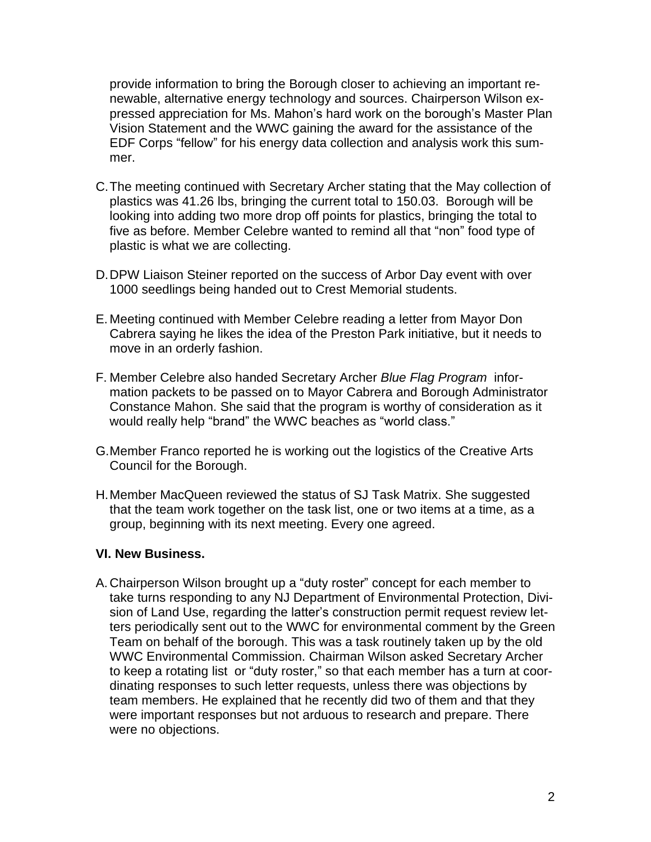provide information to bring the Borough closer to achieving an important renewable, alternative energy technology and sources. Chairperson Wilson expressed appreciation for Ms. Mahon's hard work on the borough's Master Plan Vision Statement and the WWC gaining the award for the assistance of the EDF Corps "fellow" for his energy data collection and analysis work this summer.

- C.The meeting continued with Secretary Archer stating that the May collection of plastics was 41.26 lbs, bringing the current total to 150.03. Borough will be looking into adding two more drop off points for plastics, bringing the total to five as before. Member Celebre wanted to remind all that "non" food type of plastic is what we are collecting.
- D.DPW Liaison Steiner reported on the success of Arbor Day event with over 1000 seedlings being handed out to Crest Memorial students.
- E. Meeting continued with Member Celebre reading a letter from Mayor Don Cabrera saying he likes the idea of the Preston Park initiative, but it needs to move in an orderly fashion.
- F. Member Celebre also handed Secretary Archer *Blue Flag Program* information packets to be passed on to Mayor Cabrera and Borough Administrator Constance Mahon. She said that the program is worthy of consideration as it would really help "brand" the WWC beaches as "world class."
- G.Member Franco reported he is working out the logistics of the Creative Arts Council for the Borough.
- H.Member MacQueen reviewed the status of SJ Task Matrix. She suggested that the team work together on the task list, one or two items at a time, as a group, beginning with its next meeting. Every one agreed.

## **VI. New Business.**

A. Chairperson Wilson brought up a "duty roster" concept for each member to take turns responding to any NJ Department of Environmental Protection, Division of Land Use, regarding the latter's construction permit request review letters periodically sent out to the WWC for environmental comment by the Green Team on behalf of the borough. This was a task routinely taken up by the old WWC Environmental Commission. Chairman Wilson asked Secretary Archer to keep a rotating list or "duty roster," so that each member has a turn at coordinating responses to such letter requests, unless there was objections by team members. He explained that he recently did two of them and that they were important responses but not arduous to research and prepare. There were no objections.